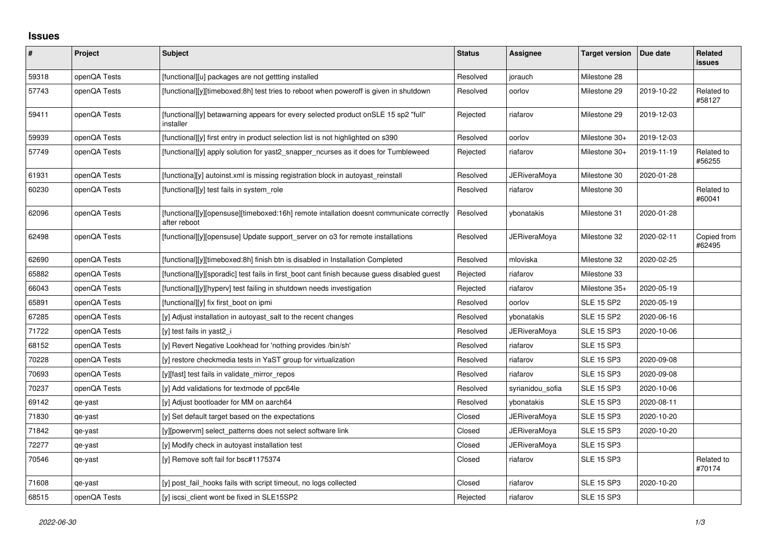## **Issues**

| #     | Project      | Subject                                                                                                  | <b>Status</b> | Assignee            | <b>Target version</b> | Due date   | <b>Related</b><br><b>issues</b> |
|-------|--------------|----------------------------------------------------------------------------------------------------------|---------------|---------------------|-----------------------|------------|---------------------------------|
| 59318 | openQA Tests | [functional][u] packages are not gettting installed                                                      | Resolved      | jorauch             | Milestone 28          |            |                                 |
| 57743 | openQA Tests | [functional][y][timeboxed:8h] test tries to reboot when poweroff is given in shutdown                    | Resolved      | oorlov              | Milestone 29          | 2019-10-22 | Related to<br>#58127            |
| 59411 | openQA Tests | [functional][y] betawarning appears for every selected product onSLE 15 sp2 "full"<br>installer          | Rejected      | riafarov            | Milestone 29          | 2019-12-03 |                                 |
| 59939 | openQA Tests | [functional][y] first entry in product selection list is not highlighted on s390                         | Resolved      | oorlov              | Milestone 30+         | 2019-12-03 |                                 |
| 57749 | openQA Tests | [functional][y] apply solution for yast2_snapper_ncurses as it does for Tumbleweed                       | Rejected      | riafarov            | Milestone 30+         | 2019-11-19 | Related to<br>#56255            |
| 61931 | openQA Tests | [functiona][y] autoinst.xml is missing registration block in autoyast_reinstall                          | Resolved      | <b>JERiveraMoya</b> | Milestone 30          | 2020-01-28 |                                 |
| 60230 | openQA Tests | [functional][y] test fails in system role                                                                | Resolved      | riafarov            | Milestone 30          |            | Related to<br>#60041            |
| 62096 | openQA Tests | [functional][y][opensuse][timeboxed:16h] remote intallation doesnt communicate correctly<br>after reboot | Resolved      | vbonatakis          | Milestone 31          | 2020-01-28 |                                 |
| 62498 | openQA Tests | [functional][y][opensuse] Update support server on 03 for remote installations                           | Resolved      | JERiveraMoya        | Milestone 32          | 2020-02-11 | Copied from<br>#62495           |
| 62690 | openQA Tests | [functional][y][timeboxed:8h] finish btn is disabled in Installation Completed                           | Resolved      | mloviska            | Milestone 32          | 2020-02-25 |                                 |
| 65882 | openQA Tests | [functional][y][sporadic] test fails in first_boot cant finish because guess disabled guest              | Rejected      | riafarov            | Milestone 33          |            |                                 |
| 66043 | openQA Tests | [functional][y][hyperv] test failing in shutdown needs investigation                                     | Rejected      | riafarov            | Milestone 35+         | 2020-05-19 |                                 |
| 65891 | openQA Tests | [functional][y] fix first boot on ipmi                                                                   | Resolved      | oorlov              | <b>SLE 15 SP2</b>     | 2020-05-19 |                                 |
| 67285 | openQA Tests | [y] Adjust installation in autoyast salt to the recent changes                                           | Resolved      | vbonatakis          | <b>SLE 15 SP2</b>     | 2020-06-16 |                                 |
| 71722 | openQA Tests | [y] test fails in yast2 i                                                                                | Resolved      | <b>JERiveraMoya</b> | <b>SLE 15 SP3</b>     | 2020-10-06 |                                 |
| 68152 | openQA Tests | [y] Revert Negative Lookhead for 'nothing provides /bin/sh'                                              | Resolved      | riafarov            | <b>SLE 15 SP3</b>     |            |                                 |
| 70228 | openQA Tests | [y] restore checkmedia tests in YaST group for virtualization                                            | Resolved      | riafarov            | <b>SLE 15 SP3</b>     | 2020-09-08 |                                 |
| 70693 | openQA Tests | [y][fast] test fails in validate_mirror_repos                                                            | Resolved      | riafarov            | <b>SLE 15 SP3</b>     | 2020-09-08 |                                 |
| 70237 | openQA Tests | [y] Add validations for textmode of ppc64le                                                              | Resolved      | syrianidou_sofia    | <b>SLE 15 SP3</b>     | 2020-10-06 |                                 |
| 69142 | qe-yast      | [y] Adjust bootloader for MM on aarch64                                                                  | Resolved      | vbonatakis          | <b>SLE 15 SP3</b>     | 2020-08-11 |                                 |
| 71830 | qe-yast      | [y] Set default target based on the expectations                                                         | Closed        | JERiveraMoya        | <b>SLE 15 SP3</b>     | 2020-10-20 |                                 |
| 71842 | qe-yast      | [y][powervm] select_patterns does not select software link                                               | Closed        | JERiveraMoya        | <b>SLE 15 SP3</b>     | 2020-10-20 |                                 |
| 72277 | qe-yast      | [y] Modify check in autoyast installation test                                                           | Closed        | <b>JERiveraMoya</b> | <b>SLE 15 SP3</b>     |            |                                 |
| 70546 | qe-yast      | [y] Remove soft fail for bsc#1175374                                                                     | Closed        | riafarov            | <b>SLE 15 SP3</b>     |            | Related to<br>#70174            |
| 71608 | qe-yast      | [y] post_fail_hooks fails with script timeout, no logs collected                                         | Closed        | riafarov            | <b>SLE 15 SP3</b>     | 2020-10-20 |                                 |
| 68515 | openQA Tests | [y] iscsi client wont be fixed in SLE15SP2                                                               | Rejected      | riafarov            | <b>SLE 15 SP3</b>     |            |                                 |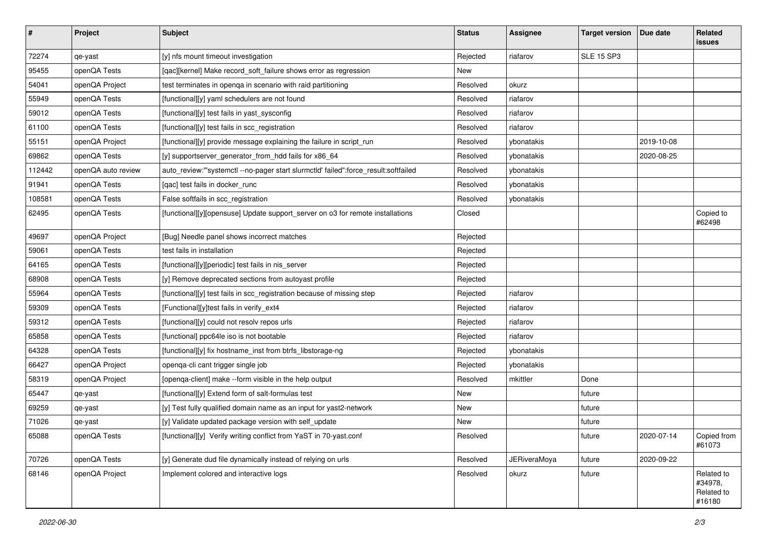| $\vert$ # | Project            | <b>Subject</b>                                                                      | <b>Status</b> | <b>Assignee</b>     | <b>Target version</b> | Due date   | Related<br><b>issues</b>                      |
|-----------|--------------------|-------------------------------------------------------------------------------------|---------------|---------------------|-----------------------|------------|-----------------------------------------------|
| 72274     | qe-yast            | [y] nfs mount timeout investigation                                                 | Rejected      | riafarov            | <b>SLE 15 SP3</b>     |            |                                               |
| 95455     | openQA Tests       | [qac][kernel] Make record_soft_failure shows error as regression                    | New           |                     |                       |            |                                               |
| 54041     | openQA Project     | test terminates in openga in scenario with raid partitioning                        | Resolved      | okurz               |                       |            |                                               |
| 55949     | openQA Tests       | [functional][y] yaml schedulers are not found                                       | Resolved      | riafarov            |                       |            |                                               |
| 59012     | openQA Tests       | [functional][y] test fails in yast_sysconfig                                        | Resolved      | riafarov            |                       |            |                                               |
| 61100     | openQA Tests       | [functional][y] test fails in scc_registration                                      | Resolved      | riafarov            |                       |            |                                               |
| 55151     | openQA Project     | [functional][y] provide message explaining the failure in script_run                | Resolved      | ybonatakis          |                       | 2019-10-08 |                                               |
| 69862     | openQA Tests       | [y] supportserver_generator_from_hdd fails for x86_64                               | Resolved      | ybonatakis          |                       | 2020-08-25 |                                               |
| 112442    | openQA auto review | auto_review:"'systemctl --no-pager start slurmctld' failed":force_result:softfailed | Resolved      | ybonatakis          |                       |            |                                               |
| 91941     | openQA Tests       | [gac] test fails in docker runc                                                     | Resolved      | ybonatakis          |                       |            |                                               |
| 108581    | openQA Tests       | False softfails in scc_registration                                                 | Resolved      | ybonatakis          |                       |            |                                               |
| 62495     | openQA Tests       | [functional][y][opensuse] Update support_server on o3 for remote installations      | Closed        |                     |                       |            | Copied to<br>#62498                           |
| 49697     | openQA Project     | [Bug] Needle panel shows incorrect matches                                          | Rejected      |                     |                       |            |                                               |
| 59061     | openQA Tests       | test fails in installation                                                          | Rejected      |                     |                       |            |                                               |
| 64165     | openQA Tests       | [functional][y][periodic] test fails in nis_server                                  | Rejected      |                     |                       |            |                                               |
| 68908     | openQA Tests       | [y] Remove deprecated sections from autoyast profile                                | Rejected      |                     |                       |            |                                               |
| 55964     | openQA Tests       | [functional][y] test fails in scc_registration because of missing step              | Rejected      | riafarov            |                       |            |                                               |
| 59309     | openQA Tests       | [Functional][y]test fails in verify_ext4                                            | Rejected      | riafarov            |                       |            |                                               |
| 59312     | openQA Tests       | [functional][y] could not resolv repos urls                                         | Rejected      | riafarov            |                       |            |                                               |
| 65858     | openQA Tests       | [functional] ppc64le iso is not bootable                                            | Rejected      | riafarov            |                       |            |                                               |
| 64328     | openQA Tests       | [functional][y] fix hostname_inst from btrfs_libstorage-ng                          | Rejected      | ybonatakis          |                       |            |                                               |
| 66427     | openQA Project     | openqa-cli cant trigger single job                                                  | Rejected      | ybonatakis          |                       |            |                                               |
| 58319     | openQA Project     | [openqa-client] make --form visible in the help output                              | Resolved      | mkittler            | Done                  |            |                                               |
| 65447     | qe-yast            | [functional][y] Extend form of salt-formulas test                                   | New           |                     | future                |            |                                               |
| 69259     | qe-yast            | [y] Test fully qualified domain name as an input for yast2-network                  | New           |                     | future                |            |                                               |
| 71026     | qe-yast            | [y] Validate updated package version with self_update                               | New           |                     | future                |            |                                               |
| 65088     | openQA Tests       | [functional][y] Verify writing conflict from YaST in 70-yast.conf                   | Resolved      |                     | future                | 2020-07-14 | Copied from<br>#61073                         |
| 70726     | openQA Tests       | [y] Generate dud file dynamically instead of relying on urls                        | Resolved      | <b>JERiveraMoya</b> | future                | 2020-09-22 |                                               |
| 68146     | openQA Project     | Implement colored and interactive logs                                              | Resolved      | okurz               | future                |            | Related to<br>#34978,<br>Related to<br>#16180 |